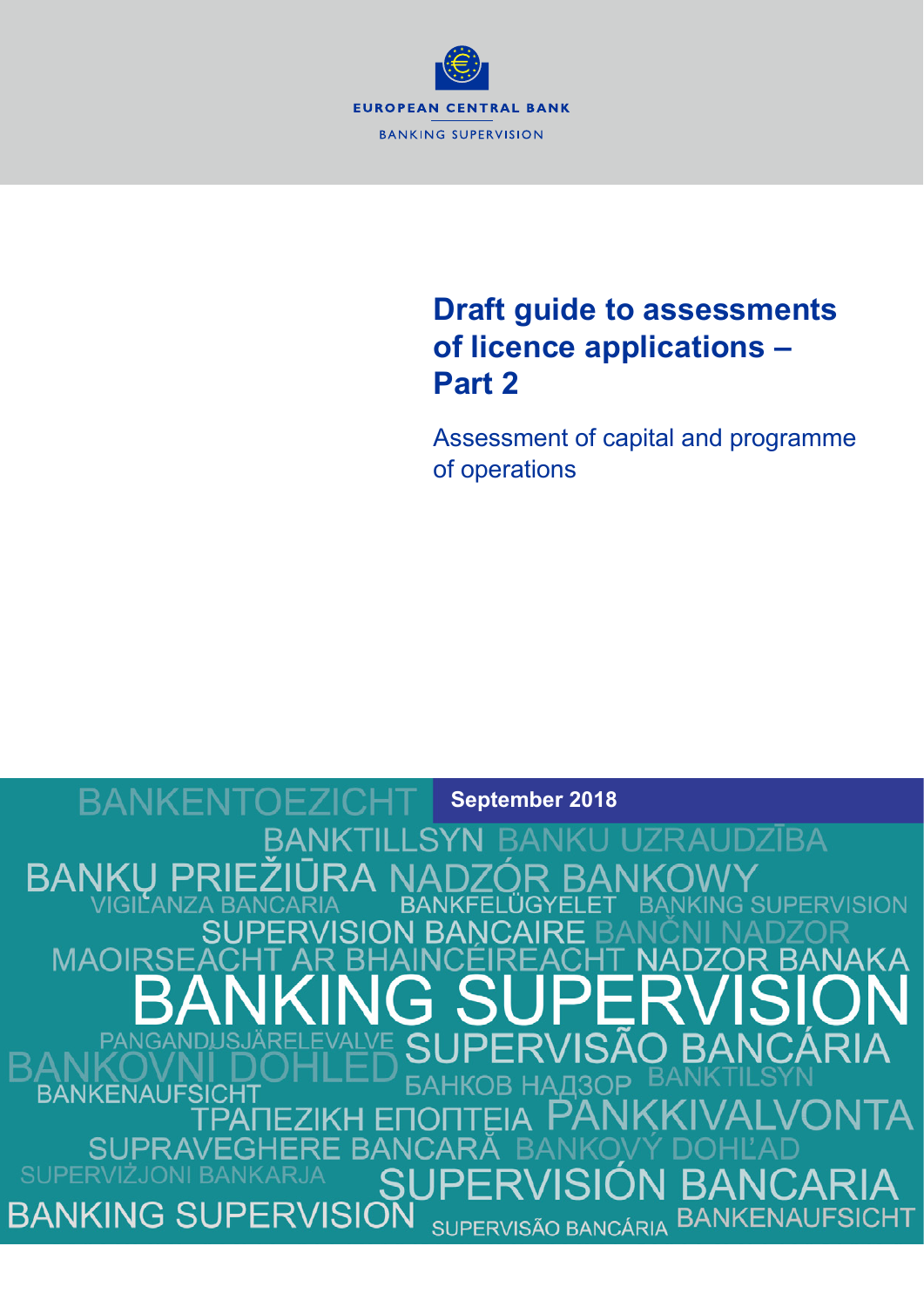

# **Draft guide to assessments of licence applications – Part 2**

Assessment of capital and programme of operations

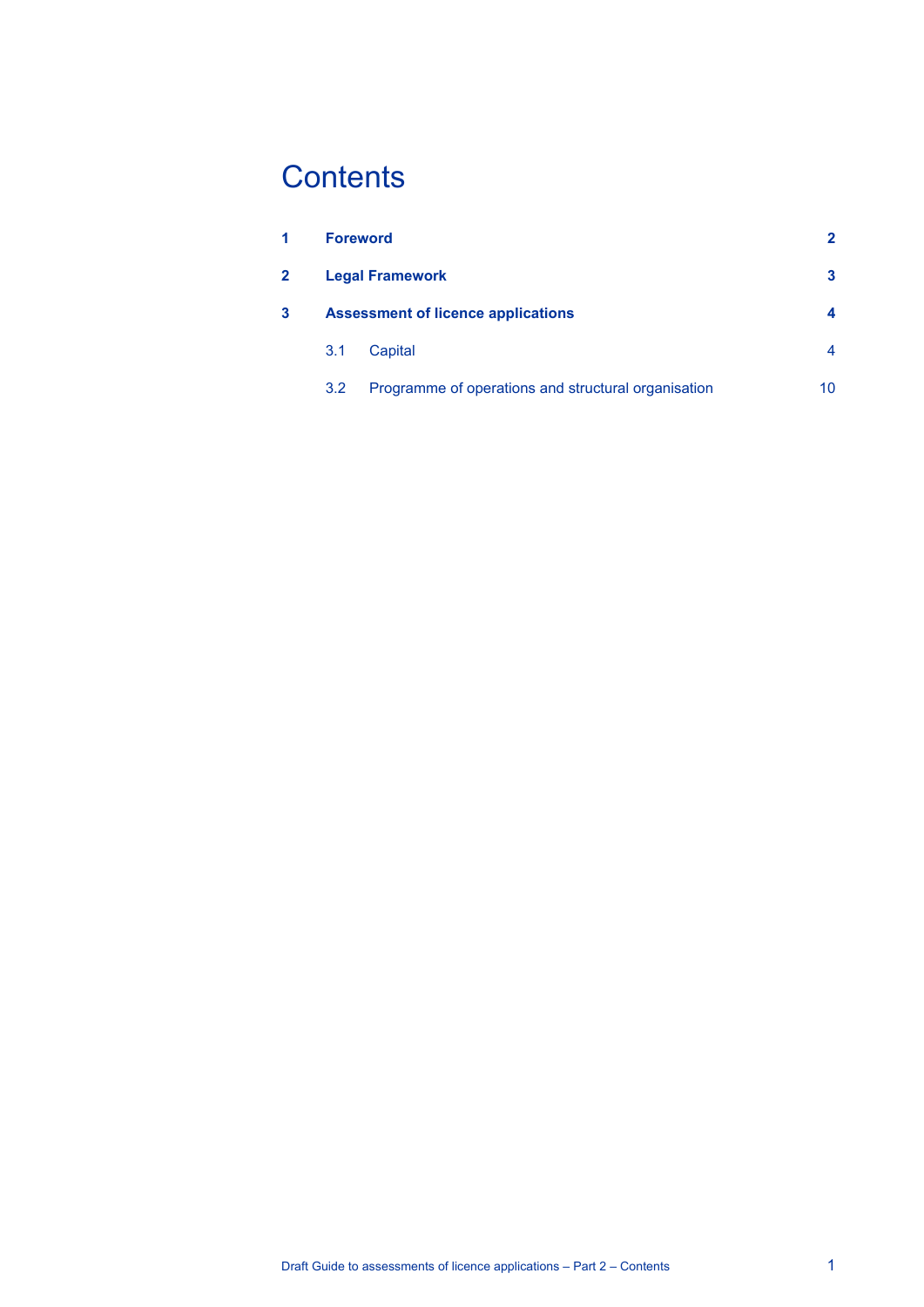# **Contents**

| 1 |                                           | <b>Foreword</b><br><b>Legal Framework</b>           |    |
|---|-------------------------------------------|-----------------------------------------------------|----|
| 2 |                                           |                                                     |    |
| 3 | <b>Assessment of licence applications</b> |                                                     |    |
|   | 3.1                                       | Capital                                             | 4  |
|   | 3.2                                       | Programme of operations and structural organisation | 10 |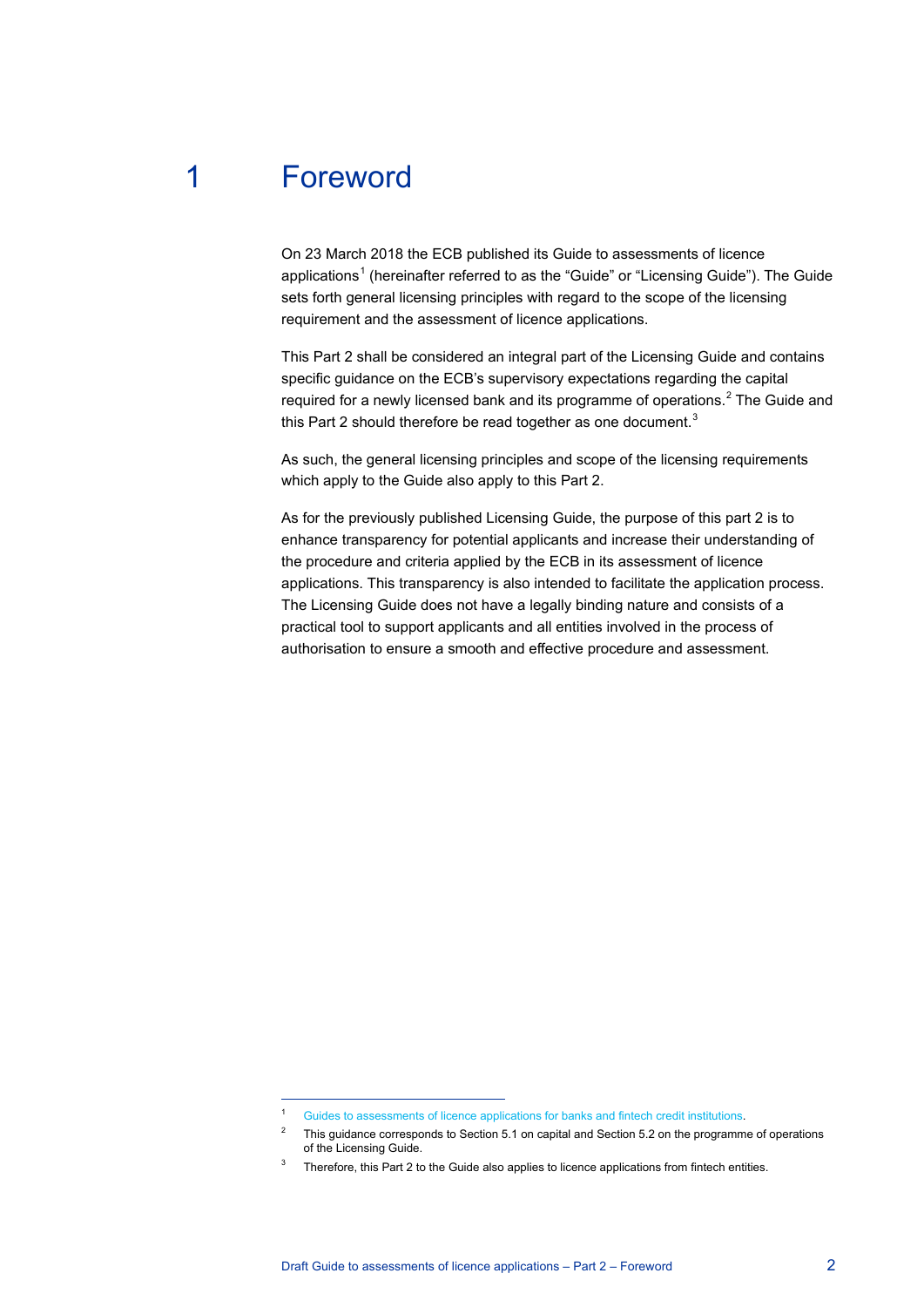# 1 Foreword

 $\overline{a}$ 

<span id="page-2-0"></span>On 23 March 2018 the ECB published its Guide to assessments of licence applications<sup>[1](#page-2-1)</sup> (hereinafter referred to as the "Guide" or "Licensing Guide"). The Guide sets forth general licensing principles with regard to the scope of the licensing requirement and the assessment of licence applications.

This Part 2 shall be considered an integral part of the Licensing Guide and contains specific guidance on the ECB's supervisory expectations regarding the capital required for a newly licensed bank and its programme of operations.<sup>[2](#page-2-2)</sup> The Guide and this Part 2 should therefore be read together as one document.<sup>[3](#page-2-3)</sup>

As such, the general licensing principles and scope of the licensing requirements which apply to the Guide also apply to this Part 2.

As for the previously published Licensing Guide, the purpose of this part 2 is to enhance transparency for potential applicants and increase their understanding of the procedure and criteria applied by the ECB in its assessment of licence applications. This transparency is also intended to facilitate the application process. The Licensing Guide does not have a legally binding nature and consists of a practical tool to support applicants and all entities involved in the process of authorisation to ensure a smooth and effective procedure and assessment.

<span id="page-2-2"></span><span id="page-2-1"></span><sup>1</sup> [Guides to assessments of licence applications for banks and fintech credit institutions.](https://www.bankingsupervision.europa.eu/press/pr/date/2018/html/ssm.pr180323.en.html)

<sup>&</sup>lt;sup>2</sup> This guidance corresponds to Section 5.1 on capital and Section 5.2 on the programme of operations of the Licensing Guide.

<span id="page-2-3"></span>Therefore, this Part 2 to the Guide also applies to licence applications from fintech entities.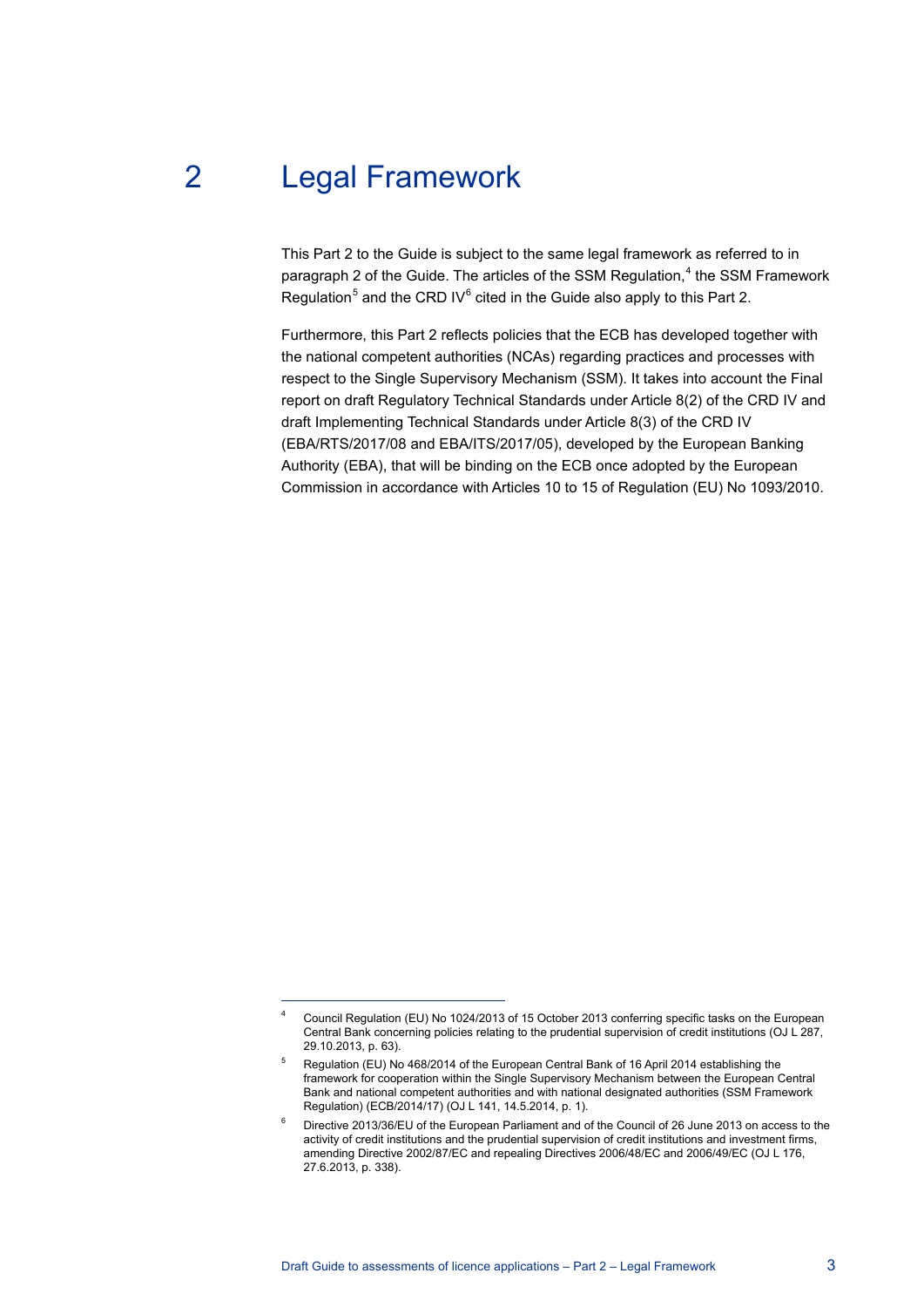# 2 Legal Framework

 $\overline{a}$ 

<span id="page-3-0"></span>This Part 2 to the Guide is subject to the same legal framework as referred to in paragraph 2 of the Guide. The articles of the SSM Regulation,<sup>[4](#page-3-1)</sup> the SSM Framework Regulation<sup>[5](#page-3-2)</sup> and the CRD IV $^6$  $^6$  cited in the Guide also apply to this Part 2.

Furthermore, this Part 2 reflects policies that the ECB has developed together with the national competent authorities (NCAs) regarding practices and processes with respect to the Single Supervisory Mechanism (SSM). It takes into account the Final report on draft Regulatory Technical Standards under Article 8(2) of the CRD IV and draft Implementing Technical Standards under Article 8(3) of the CRD IV (EBA/RTS/2017/08 and EBA/ITS/2017/05), developed by the European Banking Authority (EBA), that will be binding on the ECB once adopted by the European Commission in accordance with Articles 10 to 15 of Regulation (EU) No 1093/2010.

<span id="page-3-1"></span><sup>4</sup> Council Regulation (EU) No 1024/2013 of 15 October 2013 conferring specific tasks on the European Central Bank concerning policies relating to the prudential supervision of credit institutions (OJ L 287, 29.10.2013, p. 63).

<span id="page-3-2"></span><sup>5</sup> Regulation (EU) No 468/2014 of the European Central Bank of 16 April 2014 establishing the framework for cooperation within the Single Supervisory Mechanism between the European Central Bank and national competent authorities and with national designated authorities (SSM Framework Regulation) (ECB/2014/17) (OJ L 141, 14.5.2014, p. 1).

<span id="page-3-3"></span><sup>6</sup> Directive 2013/36/EU of the European Parliament and of the Council of 26 June 2013 on access to the activity of credit institutions and the prudential supervision of credit institutions and investment firms, amending Directive 2002/87/EC and repealing Directives 2006/48/EC and 2006/49/EC (OJ L 176, 27.6.2013, p. 338).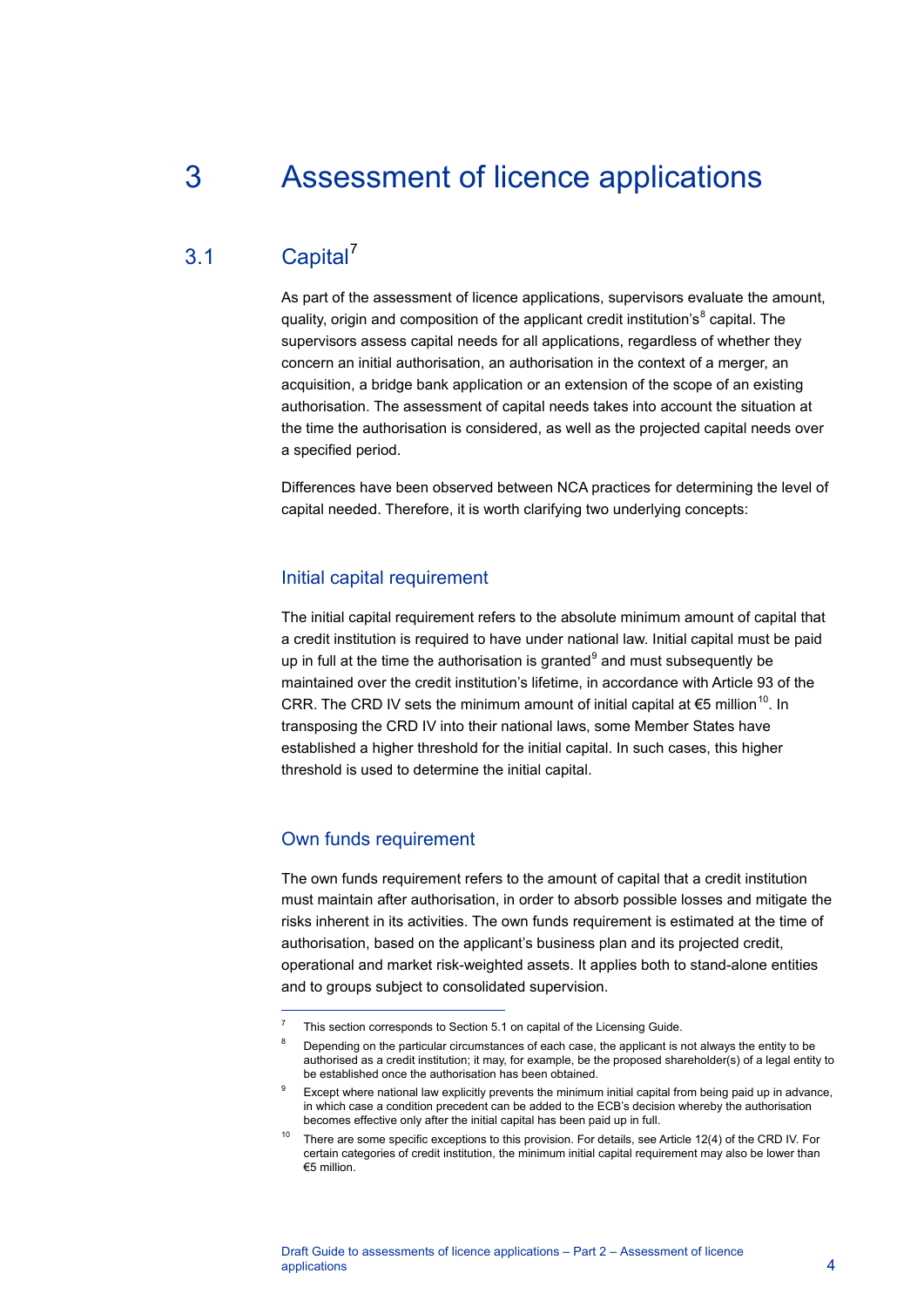# <span id="page-4-0"></span>3 Assessment of licence applications

# 3.1 Capital<sup>[7](#page-4-2)</sup>

<span id="page-4-1"></span>As part of the assessment of licence applications, supervisors evaluate the amount, quality, origin and composition of the applicant credit institution's<sup>[8](#page-4-3)</sup> capital. The supervisors assess capital needs for all applications, regardless of whether they concern an initial authorisation, an authorisation in the context of a merger, an acquisition, a bridge bank application or an extension of the scope of an existing authorisation. The assessment of capital needs takes into account the situation at the time the authorisation is considered, as well as the projected capital needs over a specified period.

Differences have been observed between NCA practices for determining the level of capital needed. Therefore, it is worth clarifying two underlying concepts:

#### Initial capital requirement

The initial capital requirement refers to the absolute minimum amount of capital that a credit institution is required to have under national law. Initial capital must be paid up in full at the time the authorisation is granted $9$  and must subsequently be maintained over the credit institution's lifetime, in accordance with Article 93 of the CRR. The CRD IV sets the minimum amount of initial capital at €5 million<sup>[10](#page-4-5)</sup>. In transposing the CRD IV into their national laws, some Member States have established a higher threshold for the initial capital. In such cases, this higher threshold is used to determine the initial capital.

#### Own funds requirement

 $\overline{a}$ 

The own funds requirement refers to the amount of capital that a credit institution must maintain after authorisation, in order to absorb possible losses and mitigate the risks inherent in its activities. The own funds requirement is estimated at the time of authorisation, based on the applicant's business plan and its projected credit, operational and market risk-weighted assets. It applies both to stand-alone entities and to groups subject to consolidated supervision.

<span id="page-4-3"></span><span id="page-4-2"></span><sup>7</sup> This section corresponds to Section 5.1 on capital of the Licensing Guide.

<sup>&</sup>lt;sup>8</sup> Depending on the particular circumstances of each case, the applicant is not always the entity to be authorised as a credit institution; it may, for example, be the proposed shareholder(s) of a legal entity to be established once the authorisation has been obtained.

<span id="page-4-4"></span>Except where national law explicitly prevents the minimum initial capital from being paid up in advance, in which case a condition precedent can be added to the ECB's decision whereby the authorisation becomes effective only after the initial capital has been paid up in full.

<span id="page-4-5"></span><sup>&</sup>lt;sup>10</sup> There are some specific exceptions to this provision. For details, see Article 12(4) of the CRD IV. For certain categories of credit institution, the minimum initial capital requirement may also be lower than €5 million.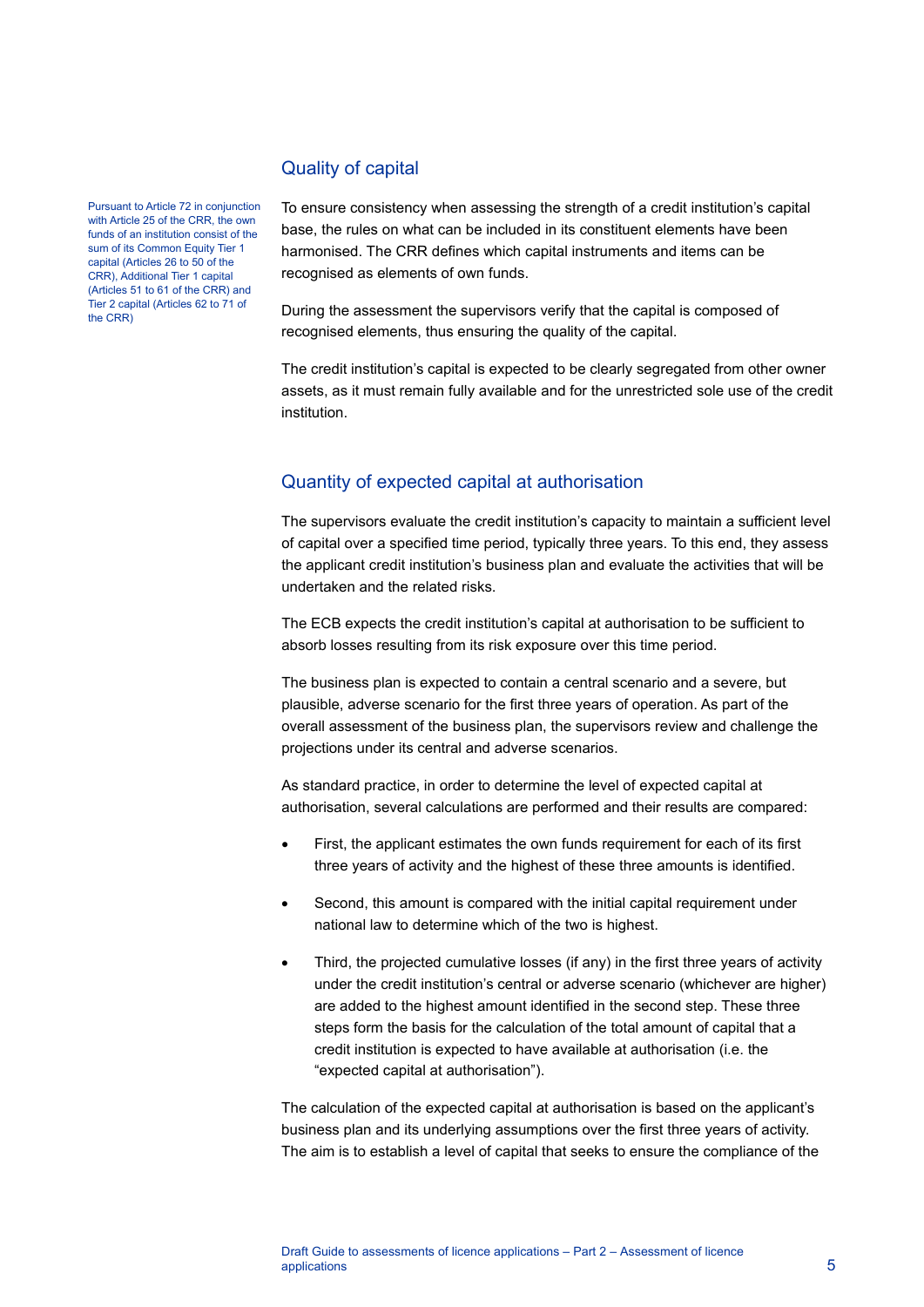#### Pursuant to Article 72 in conjunction with Article 25 of the CRR, the own funds of an institution consist of the sum of its Common Equity Tier 1 capital (Articles 26 to 50 of the CRR), Additional Tier 1 capital (Articles 51 to 61 of the CRR) and Tier 2 capital (Articles 62 to 71 of the CRR)

### Quality of capital

To ensure consistency when assessing the strength of a credit institution's capital base, the rules on what can be included in its constituent elements have been harmonised. The CRR defines which capital instruments and items can be recognised as elements of own funds.

During the assessment the supervisors verify that the capital is composed of recognised elements, thus ensuring the quality of the capital.

The credit institution's capital is expected to be clearly segregated from other owner assets, as it must remain fully available and for the unrestricted sole use of the credit institution.

## Quantity of expected capital at authorisation

The supervisors evaluate the credit institution's capacity to maintain a sufficient level of capital over a specified time period, typically three years. To this end, they assess the applicant credit institution's business plan and evaluate the activities that will be undertaken and the related risks.

The ECB expects the credit institution's capital at authorisation to be sufficient to absorb losses resulting from its risk exposure over this time period.

The business plan is expected to contain a central scenario and a severe, but plausible, adverse scenario for the first three years of operation. As part of the overall assessment of the business plan, the supervisors review and challenge the projections under its central and adverse scenarios.

As standard practice, in order to determine the level of expected capital at authorisation, several calculations are performed and their results are compared:

- First, the applicant estimates the own funds requirement for each of its first three years of activity and the highest of these three amounts is identified.
- Second, this amount is compared with the initial capital requirement under national law to determine which of the two is highest.
- Third, the projected cumulative losses (if any) in the first three years of activity under the credit institution's central or adverse scenario (whichever are higher) are added to the highest amount identified in the second step. These three steps form the basis for the calculation of the total amount of capital that a credit institution is expected to have available at authorisation (i.e. the "expected capital at authorisation").

The calculation of the expected capital at authorisation is based on the applicant's business plan and its underlying assumptions over the first three years of activity. The aim is to establish a level of capital that seeks to ensure the compliance of the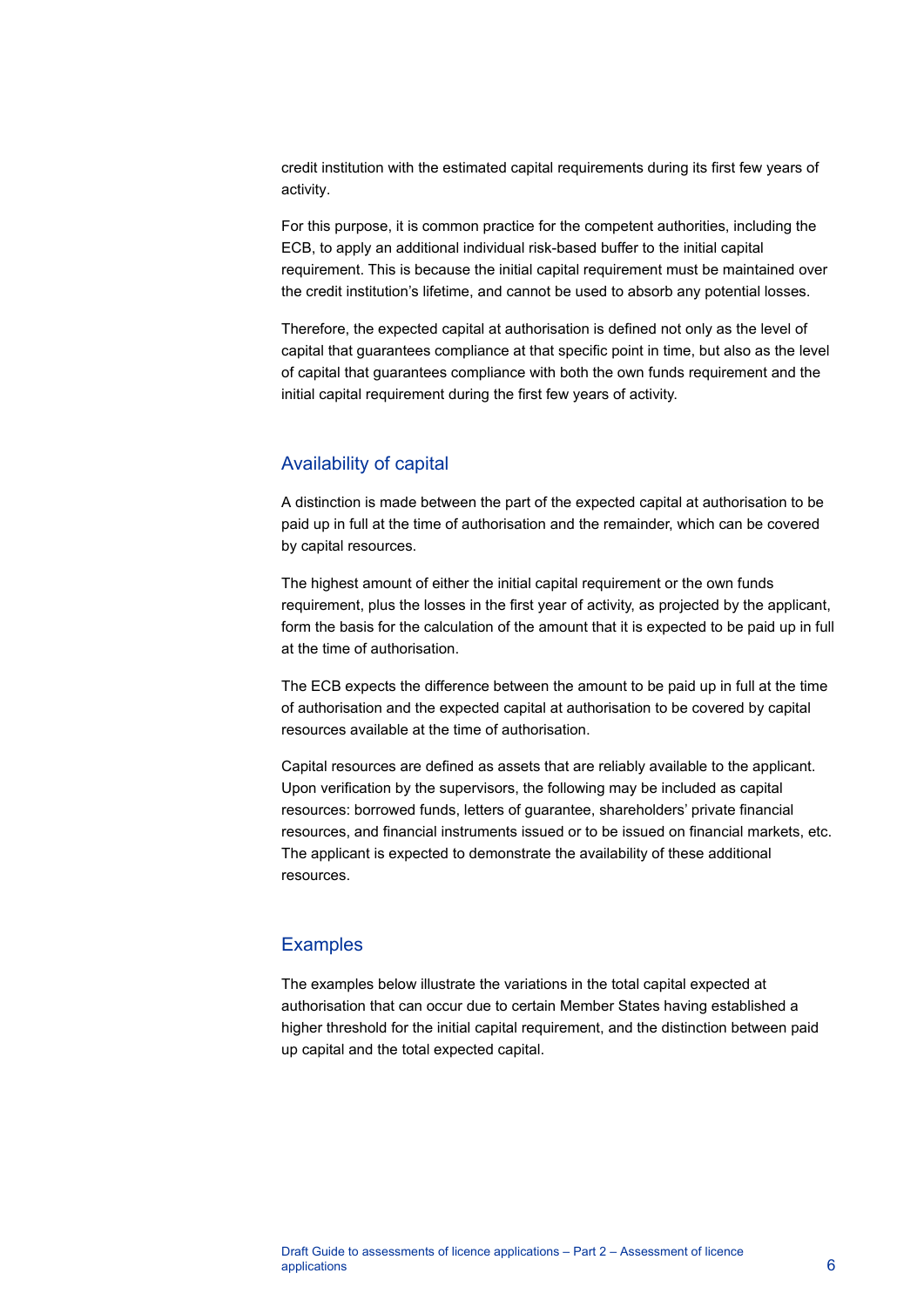credit institution with the estimated capital requirements during its first few years of activity.

For this purpose, it is common practice for the competent authorities, including the ECB, to apply an additional individual risk-based buffer to the initial capital requirement. This is because the initial capital requirement must be maintained over the credit institution's lifetime, and cannot be used to absorb any potential losses.

Therefore, the expected capital at authorisation is defined not only as the level of capital that guarantees compliance at that specific point in time, but also as the level of capital that guarantees compliance with both the own funds requirement and the initial capital requirement during the first few years of activity.

#### Availability of capital

A distinction is made between the part of the expected capital at authorisation to be paid up in full at the time of authorisation and the remainder, which can be covered by capital resources.

The highest amount of either the initial capital requirement or the own funds requirement, plus the losses in the first year of activity, as projected by the applicant, form the basis for the calculation of the amount that it is expected to be paid up in full at the time of authorisation.

The ECB expects the difference between the amount to be paid up in full at the time of authorisation and the expected capital at authorisation to be covered by capital resources available at the time of authorisation.

Capital resources are defined as assets that are reliably available to the applicant. Upon verification by the supervisors, the following may be included as capital resources: borrowed funds, letters of guarantee, shareholders' private financial resources, and financial instruments issued or to be issued on financial markets, etc. The applicant is expected to demonstrate the availability of these additional resources.

### **Examples**

The examples below illustrate the variations in the total capital expected at authorisation that can occur due to certain Member States having established a higher threshold for the initial capital requirement, and the distinction between paid up capital and the total expected capital.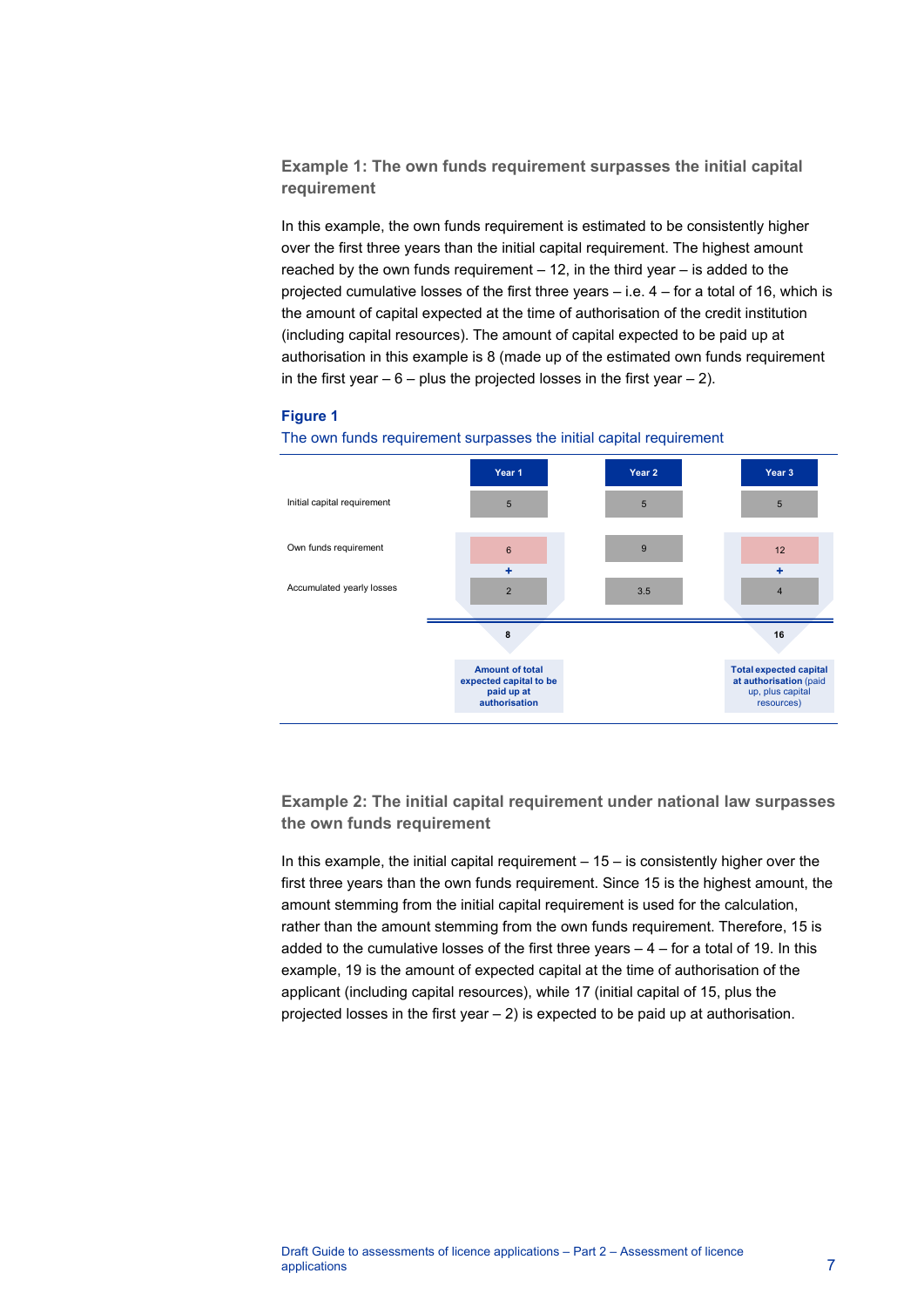**Example 1: The own funds requirement surpasses the initial capital requirement**

In this example, the own funds requirement is estimated to be consistently higher over the first three years than the initial capital requirement. The highest amount reached by the own funds requirement  $-12$ , in the third year  $-$  is added to the projected cumulative losses of the first three years – i.e. 4 – for a total of 16, which is the amount of capital expected at the time of authorisation of the credit institution (including capital resources). The amount of capital expected to be paid up at authorisation in this example is 8 (made up of the estimated own funds requirement in the first year  $-6$  – plus the projected losses in the first year  $-2$ ).

#### **Figure 1**



The own funds requirement surpasses the initial capital requirement

**Example 2: The initial capital requirement under national law surpasses the own funds requirement**

In this example, the initial capital requirement  $-15 -$  is consistently higher over the first three years than the own funds requirement. Since 15 is the highest amount, the amount stemming from the initial capital requirement is used for the calculation, rather than the amount stemming from the own funds requirement. Therefore, 15 is added to the cumulative losses of the first three years – 4 – for a total of 19. In this example, 19 is the amount of expected capital at the time of authorisation of the applicant (including capital resources), while 17 (initial capital of 15, plus the projected losses in the first year – 2) is expected to be paid up at authorisation.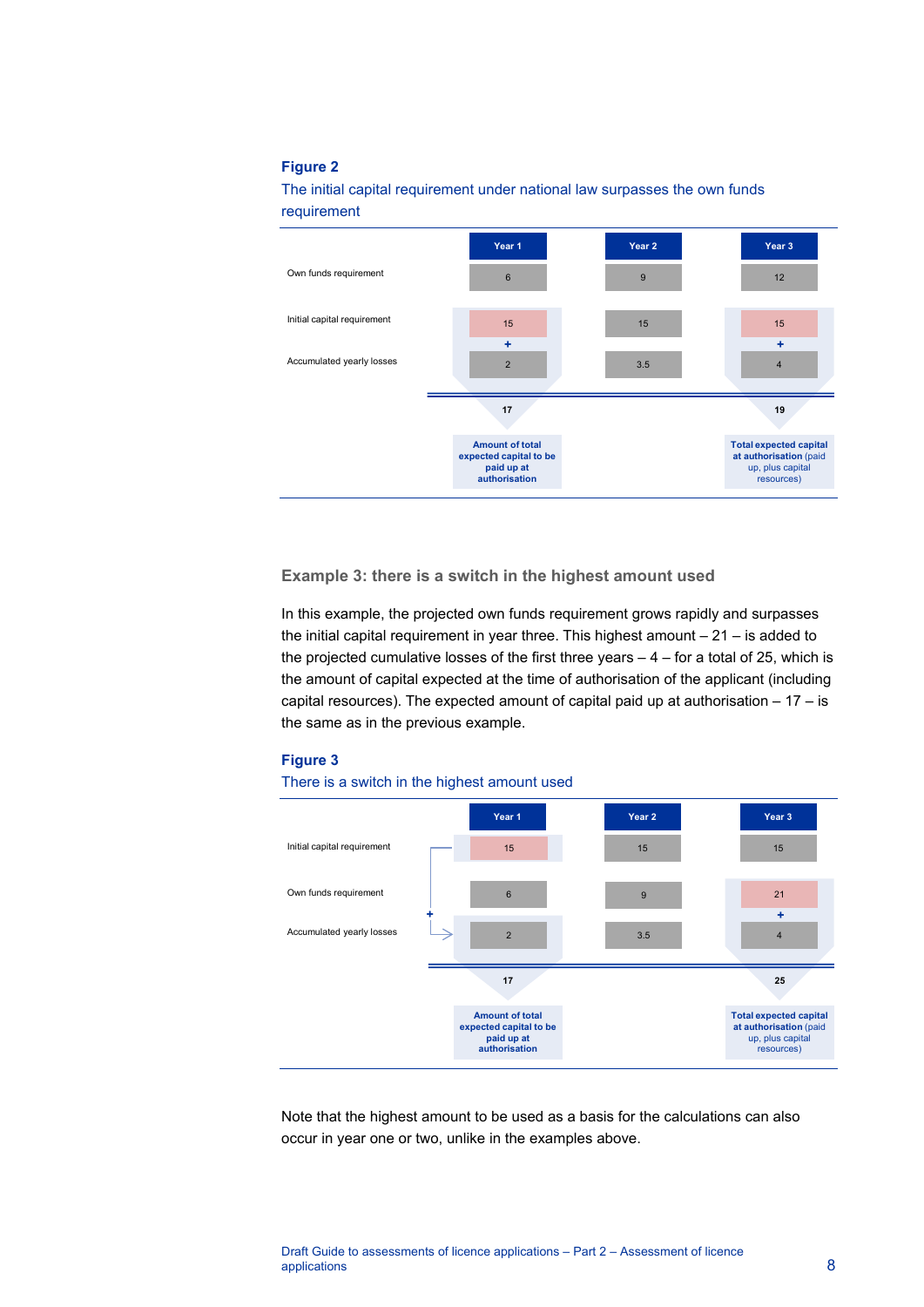#### **Figure 2**

The initial capital requirement under national law surpasses the own funds requirement



**Example 3: there is a switch in the highest amount used**

In this example, the projected own funds requirement grows rapidly and surpasses the initial capital requirement in year three. This highest amount  $-21 -$  is added to the projected cumulative losses of the first three years  $-4$  – for a total of 25, which is the amount of capital expected at the time of authorisation of the applicant (including capital resources). The expected amount of capital paid up at authorisation  $-17 - i$ s the same as in the previous example.

#### **Figure 3**





Note that the highest amount to be used as a basis for the calculations can also occur in year one or two, unlike in the examples above.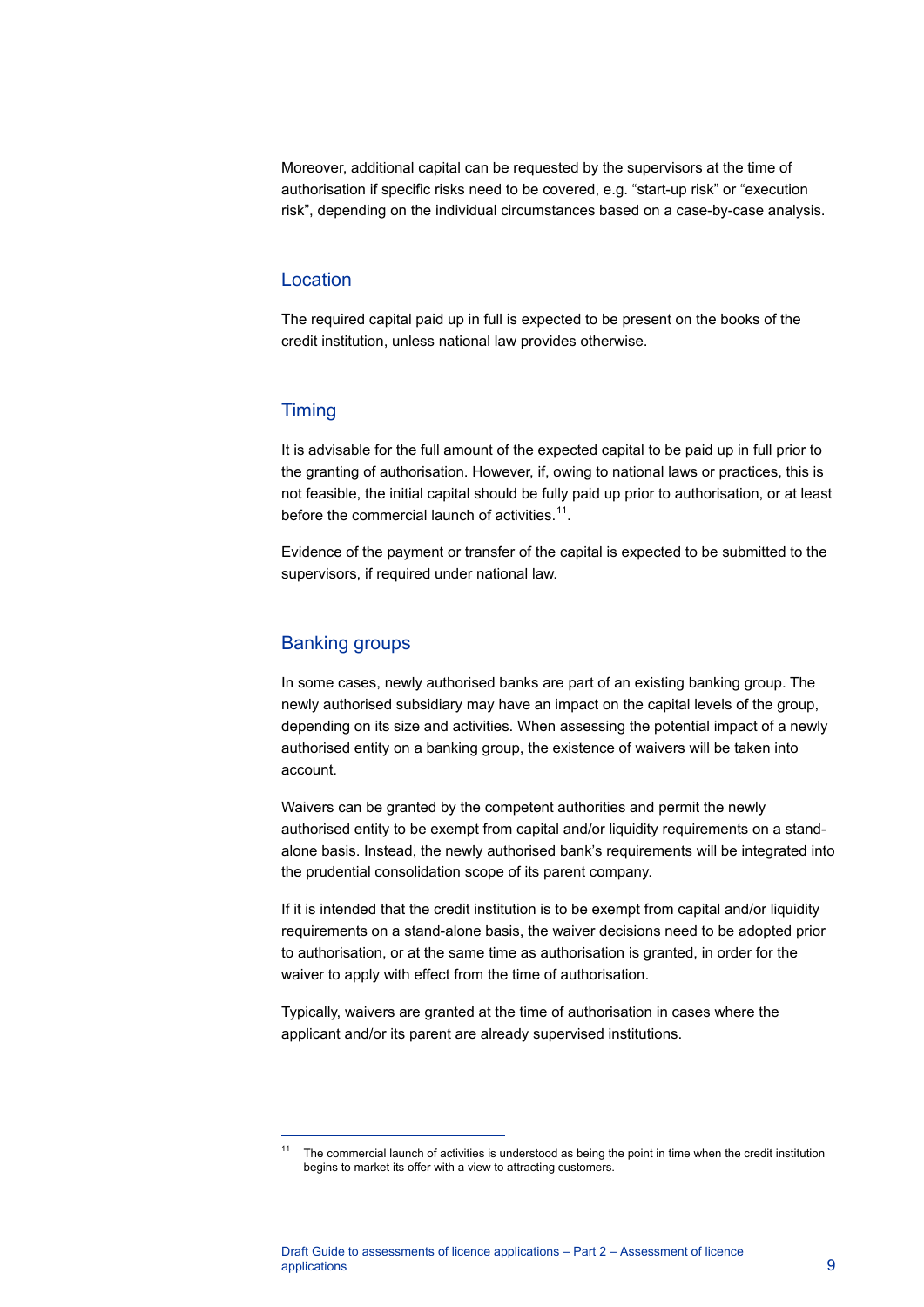Moreover, additional capital can be requested by the supervisors at the time of authorisation if specific risks need to be covered, e.g. "start-up risk" or "execution risk", depending on the individual circumstances based on a case-by-case analysis.

#### Location

The required capital paid up in full is expected to be present on the books of the credit institution, unless national law provides otherwise.

#### **Timing**

It is advisable for the full amount of the expected capital to be paid up in full prior to the granting of authorisation. However, if, owing to national laws or practices, this is not feasible, the initial capital should be fully paid up prior to authorisation, or at least before the commercial launch of activities. $11$ .

Evidence of the payment or transfer of the capital is expected to be submitted to the supervisors, if required under national law.

#### Banking groups

<span id="page-9-0"></span> $\overline{a}$ 

In some cases, newly authorised banks are part of an existing banking group. The newly authorised subsidiary may have an impact on the capital levels of the group, depending on its size and activities. When assessing the potential impact of a newly authorised entity on a banking group, the existence of waivers will be taken into account.

Waivers can be granted by the competent authorities and permit the newly authorised entity to be exempt from capital and/or liquidity requirements on a standalone basis. Instead, the newly authorised bank's requirements will be integrated into the prudential consolidation scope of its parent company.

If it is intended that the credit institution is to be exempt from capital and/or liquidity requirements on a stand-alone basis, the waiver decisions need to be adopted prior to authorisation, or at the same time as authorisation is granted, in order for the waiver to apply with effect from the time of authorisation.

Typically, waivers are granted at the time of authorisation in cases where the applicant and/or its parent are already supervised institutions.

<sup>11</sup> The commercial launch of activities is understood as being the point in time when the credit institution begins to market its offer with a view to attracting customers.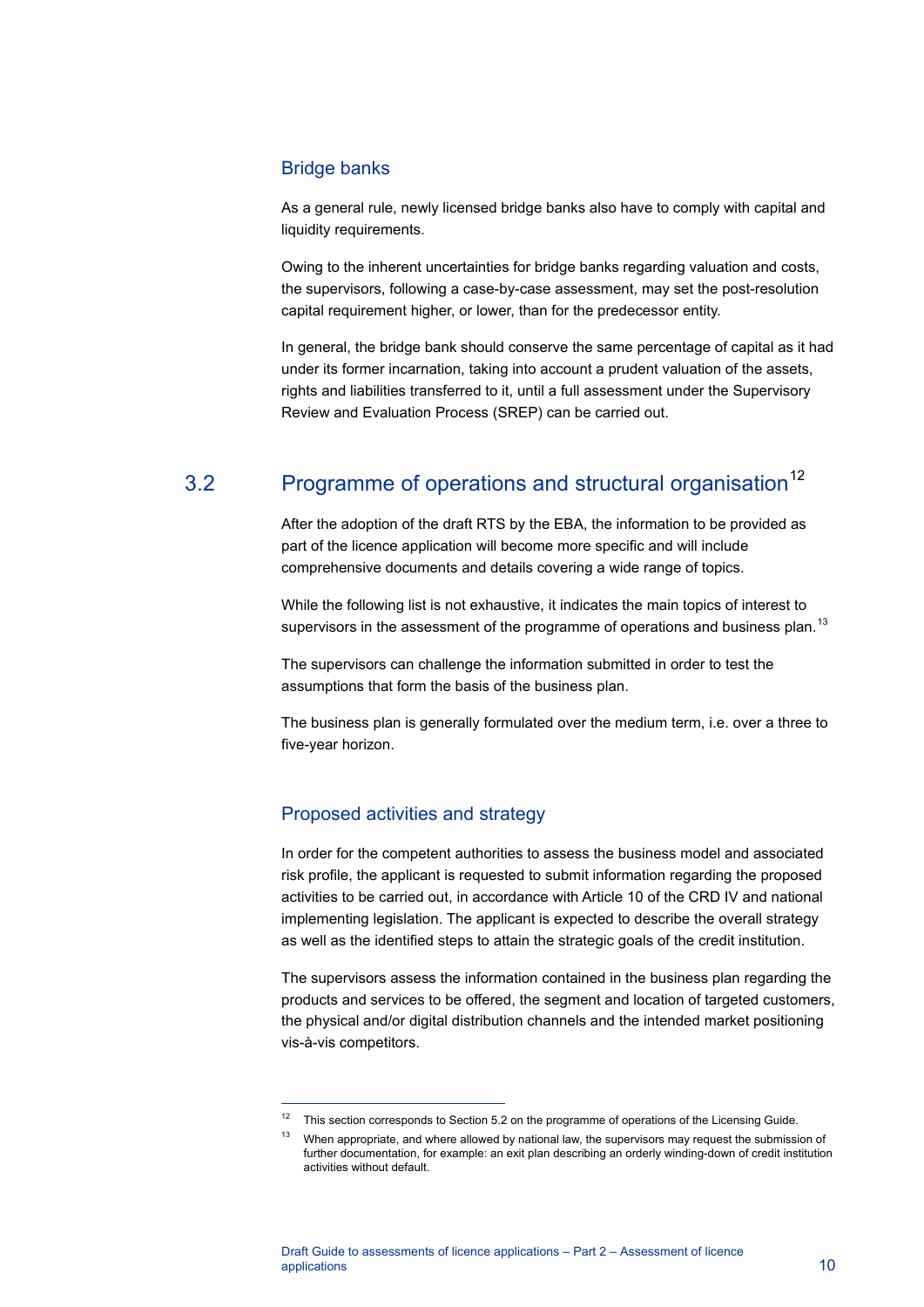#### Bridge banks

As a general rule, newly licensed bridge banks also have to comply with capital and liquidity requirements.

Owing to the inherent uncertainties for bridge banks regarding valuation and costs, the supervisors, following a case-by-case assessment, may set the post-resolution capital requirement higher, or lower, than for the predecessor entity.

In general, the bridge bank should conserve the same percentage of capital as it had under its former incarnation, taking into account a prudent valuation of the assets, rights and liabilities transferred to it, until a full assessment under the Supervisory Review and Evaluation Process (SREP) can be carried out.

## 3.2 Programme of operations and structural organisation<sup>[12](#page-10-1)</sup>

<span id="page-10-0"></span>After the adoption of the draft RTS by the EBA, the information to be provided as part of the licence application will become more specific and will include comprehensive documents and details covering a wide range of topics.

While the following list is not exhaustive, it indicates the main topics of interest to supervisors in the assessment of the programme of operations and business plan.<sup>[13](#page-10-2)</sup>

The supervisors can challenge the information submitted in order to test the assumptions that form the basis of the business plan.

The business plan is generally formulated over the medium term, i.e. over a three to five-year horizon.

### Proposed activities and strategy

 $\overline{a}$ 

In order for the competent authorities to assess the business model and associated risk profile, the applicant is requested to submit information regarding the proposed activities to be carried out, in accordance with Article 10 of the CRD IV and national implementing legislation. The applicant is expected to describe the overall strategy as well as the identified steps to attain the strategic goals of the credit institution.

The supervisors assess the information contained in the business plan regarding the products and services to be offered, the segment and location of targeted customers, the physical and/or digital distribution channels and the intended market positioning vis-à-vis competitors.

<span id="page-10-1"></span><sup>&</sup>lt;sup>12</sup> This section corresponds to Section 5.2 on the programme of operations of the Licensing Guide.

<span id="page-10-2"></span><sup>&</sup>lt;sup>13</sup> When appropriate, and where allowed by national law, the supervisors may request the submission of further documentation, for example: an exit plan describing an orderly winding-down of credit institution activities without default.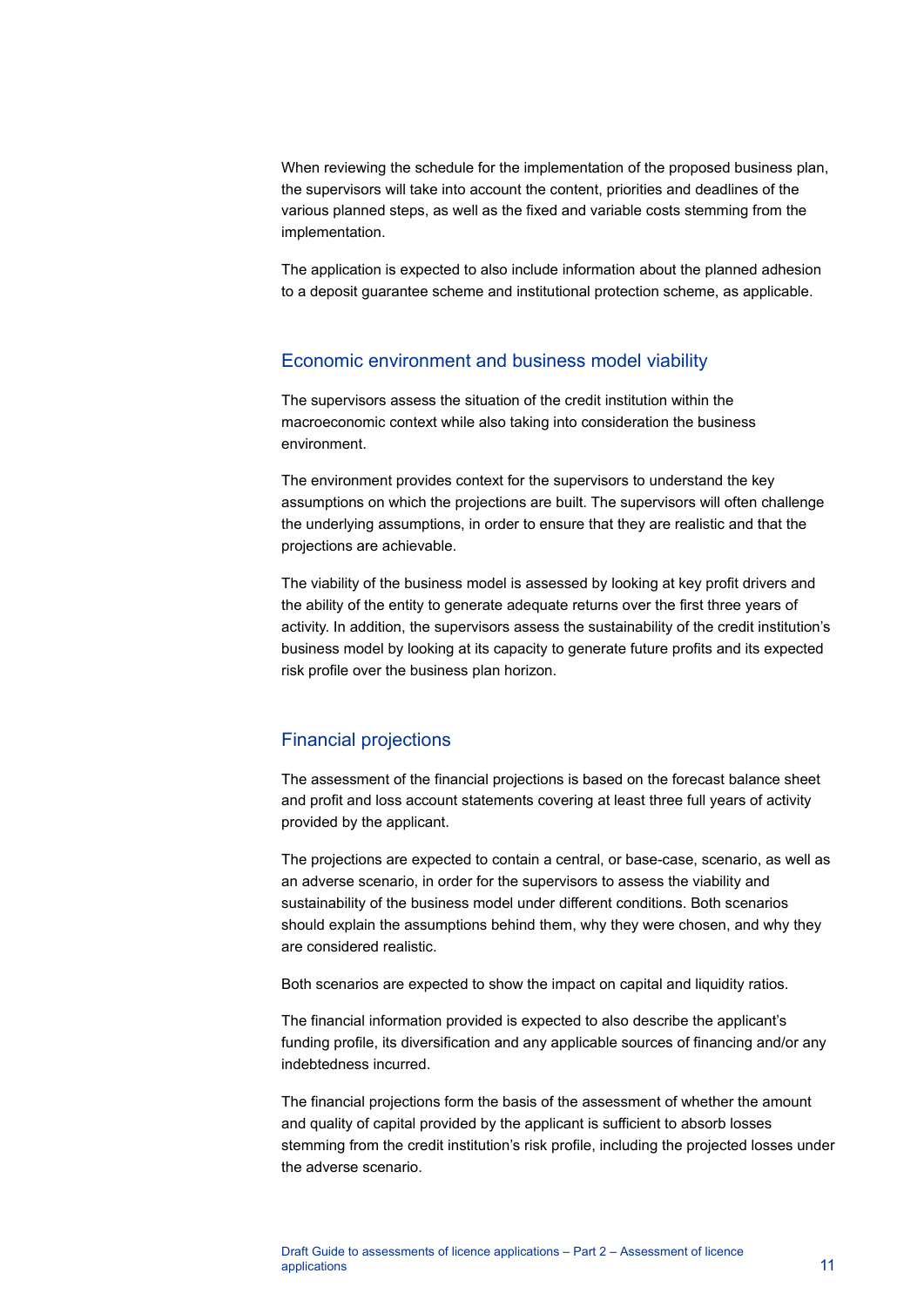When reviewing the schedule for the implementation of the proposed business plan, the supervisors will take into account the content, priorities and deadlines of the various planned steps, as well as the fixed and variable costs stemming from the implementation.

The application is expected to also include information about the planned adhesion to a deposit guarantee scheme and institutional protection scheme, as applicable.

#### Economic environment and business model viability

The supervisors assess the situation of the credit institution within the macroeconomic context while also taking into consideration the business environment.

The environment provides context for the supervisors to understand the key assumptions on which the projections are built. The supervisors will often challenge the underlying assumptions, in order to ensure that they are realistic and that the projections are achievable.

The viability of the business model is assessed by looking at key profit drivers and the ability of the entity to generate adequate returns over the first three years of activity. In addition, the supervisors assess the sustainability of the credit institution's business model by looking at its capacity to generate future profits and its expected risk profile over the business plan horizon.

#### Financial projections

The assessment of the financial projections is based on the forecast balance sheet and profit and loss account statements covering at least three full years of activity provided by the applicant.

The projections are expected to contain a central, or base-case, scenario, as well as an adverse scenario, in order for the supervisors to assess the viability and sustainability of the business model under different conditions. Both scenarios should explain the assumptions behind them, why they were chosen, and why they are considered realistic.

Both scenarios are expected to show the impact on capital and liquidity ratios.

The financial information provided is expected to also describe the applicant's funding profile, its diversification and any applicable sources of financing and/or any indebtedness incurred.

The financial projections form the basis of the assessment of whether the amount and quality of capital provided by the applicant is sufficient to absorb losses stemming from the credit institution's risk profile, including the projected losses under the adverse scenario.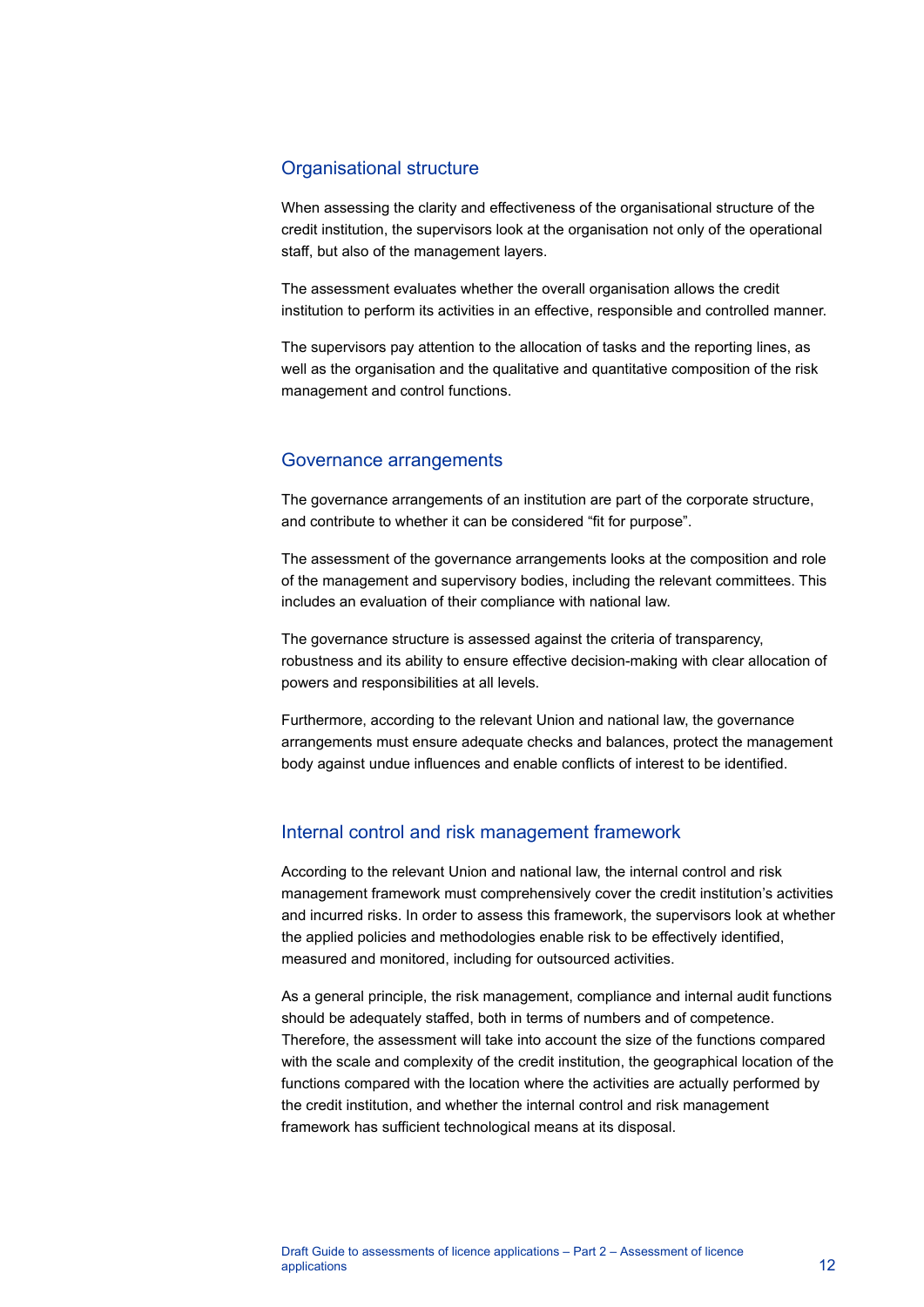#### Organisational structure

When assessing the clarity and effectiveness of the organisational structure of the credit institution, the supervisors look at the organisation not only of the operational staff, but also of the management layers.

The assessment evaluates whether the overall organisation allows the credit institution to perform its activities in an effective, responsible and controlled manner.

The supervisors pay attention to the allocation of tasks and the reporting lines, as well as the organisation and the qualitative and quantitative composition of the risk management and control functions.

#### Governance arrangements

The governance arrangements of an institution are part of the corporate structure, and contribute to whether it can be considered "fit for purpose".

The assessment of the governance arrangements looks at the composition and role of the management and supervisory bodies, including the relevant committees. This includes an evaluation of their compliance with national law.

The governance structure is assessed against the criteria of transparency, robustness and its ability to ensure effective decision-making with clear allocation of powers and responsibilities at all levels.

Furthermore, according to the relevant Union and national law, the governance arrangements must ensure adequate checks and balances, protect the management body against undue influences and enable conflicts of interest to be identified.

#### Internal control and risk management framework

According to the relevant Union and national law, the internal control and risk management framework must comprehensively cover the credit institution's activities and incurred risks. In order to assess this framework, the supervisors look at whether the applied policies and methodologies enable risk to be effectively identified, measured and monitored, including for outsourced activities.

As a general principle, the risk management, compliance and internal audit functions should be adequately staffed, both in terms of numbers and of competence. Therefore, the assessment will take into account the size of the functions compared with the scale and complexity of the credit institution, the geographical location of the functions compared with the location where the activities are actually performed by the credit institution, and whether the internal control and risk management framework has sufficient technological means at its disposal.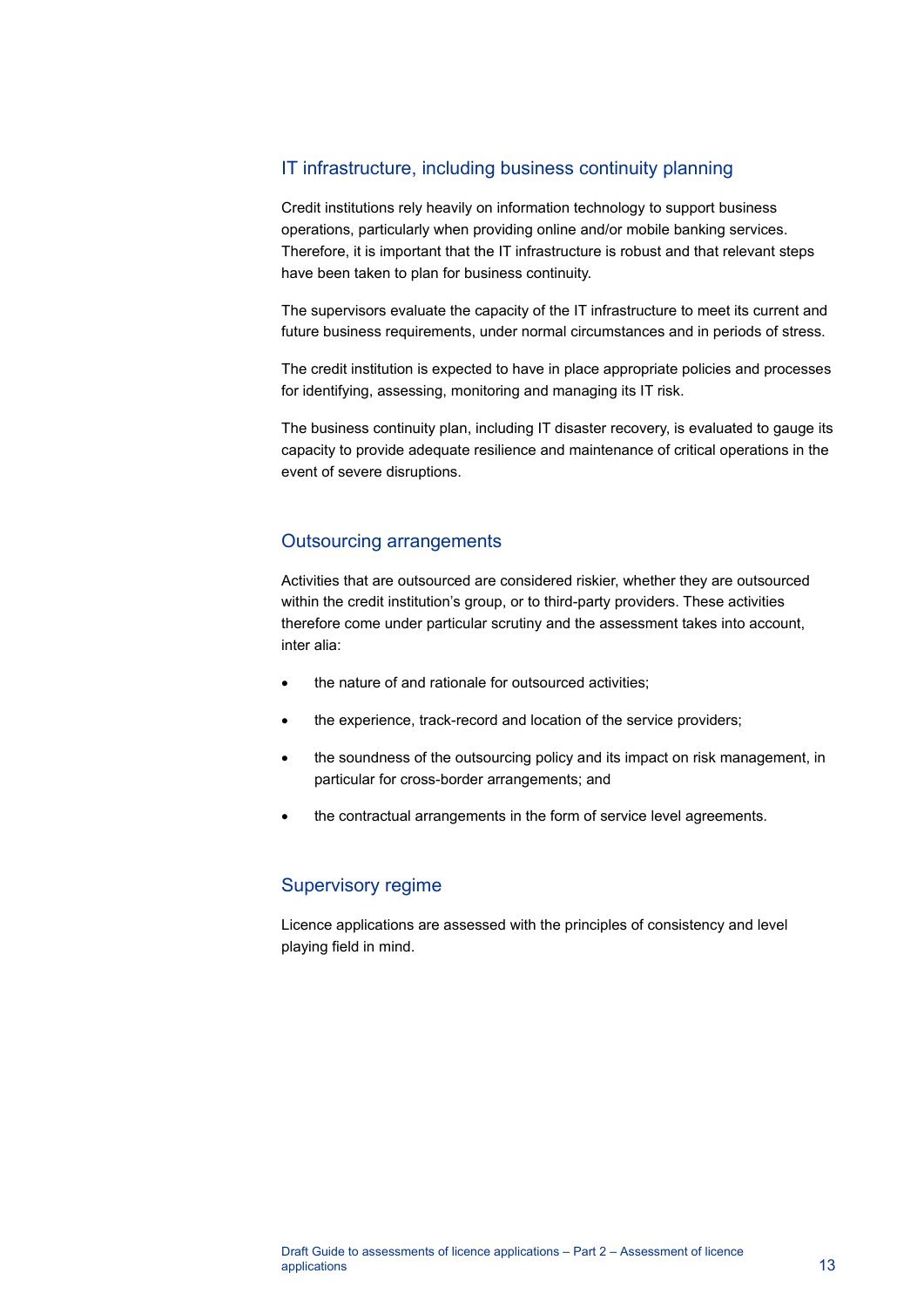## IT infrastructure, including business continuity planning

Credit institutions rely heavily on information technology to support business operations, particularly when providing online and/or mobile banking services. Therefore, it is important that the IT infrastructure is robust and that relevant steps have been taken to plan for business continuity.

The supervisors evaluate the capacity of the IT infrastructure to meet its current and future business requirements, under normal circumstances and in periods of stress.

The credit institution is expected to have in place appropriate policies and processes for identifying, assessing, monitoring and managing its IT risk.

The business continuity plan, including IT disaster recovery, is evaluated to gauge its capacity to provide adequate resilience and maintenance of critical operations in the event of severe disruptions.

### Outsourcing arrangements

Activities that are outsourced are considered riskier, whether they are outsourced within the credit institution's group, or to third-party providers. These activities therefore come under particular scrutiny and the assessment takes into account, inter alia:

- the nature of and rationale for outsourced activities;
- the experience, track-record and location of the service providers;
- the soundness of the outsourcing policy and its impact on risk management, in particular for cross-border arrangements; and
- the contractual arrangements in the form of service level agreements.

### Supervisory regime

Licence applications are assessed with the principles of consistency and level playing field in mind.